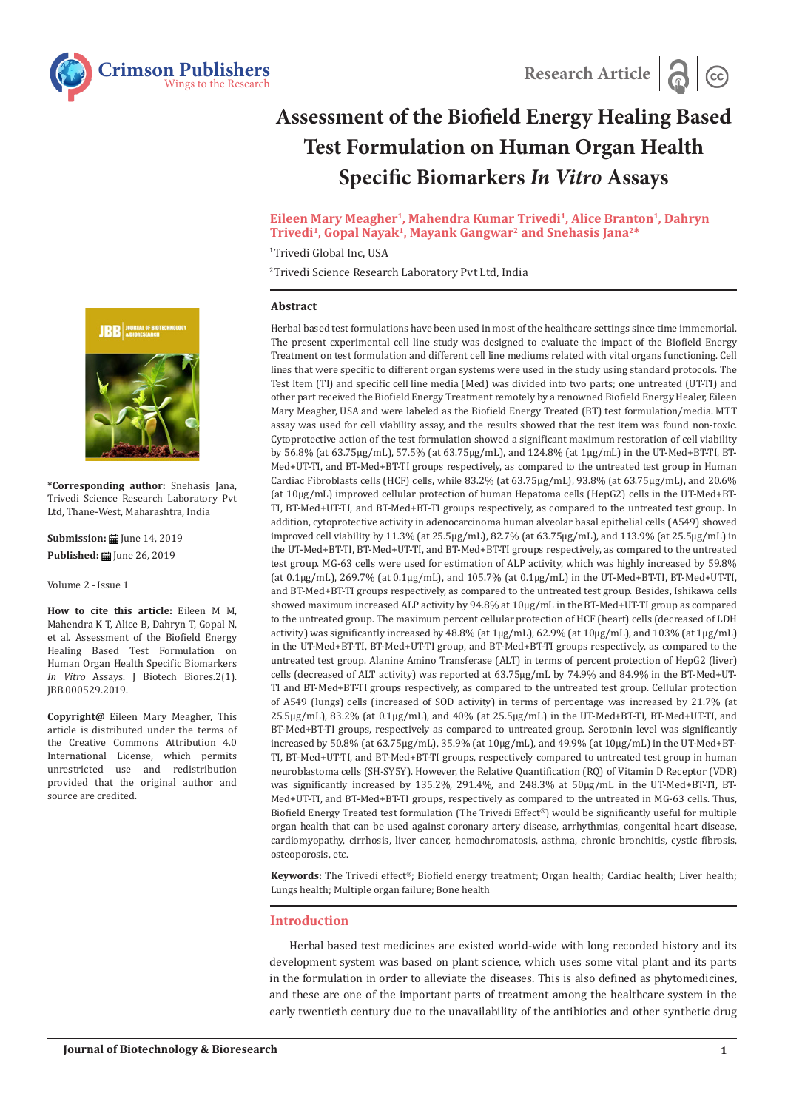

# **Assessment of the Biofield Energy Healing Based Test Formulation on Human Organ Health Specific Biomarkers** *In Vitro* **Assays**

## **Eileen Mary Meagher1, Mahendra Kumar Trivedi1, Alice Branton1, Dahryn Trivedi1, Gopal Nayak1, Mayank Gangwar2 and Snehasis Jana2\***

1 Trivedi Global Inc, USA

2 Trivedi Science Research Laboratory Pvt Ltd, India

## **Abstract**

Herbal based test formulations have been used in most of the healthcare settings since time immemorial. The present experimental cell line study was designed to evaluate the impact of the Biofield Energy Treatment on test formulation and different cell line mediums related with vital organs functioning. Cell lines that were specific to different organ systems were used in the study using standard protocols. The Test Item (TI) and specific cell line media (Med) was divided into two parts; one untreated (UT-TI) and other part received the Biofield Energy Treatment remotely by a renowned Biofield Energy Healer, Eileen Mary Meagher, USA and were labeled as the Biofield Energy Treated (BT) test formulation/media. MTT assay was used for cell viability assay, and the results showed that the test item was found non-toxic. Cytoprotective action of the test formulation showed a significant maximum restoration of cell viability by 56.8% (at 63.75µg/mL), 57.5% (at 63.75µg/mL), and 124.8% (at 1µg/mL) in the UT-Med+BT-TI, BT-Med+UT-TI, and BT-Med+BT-TI groups respectively, as compared to the untreated test group in Human Cardiac Fibroblasts cells (HCF) cells, while 83.2% (at 63.75µg/mL), 93.8% (at 63.75µg/mL), and 20.6% (at 10µg/mL) improved cellular protection of human Hepatoma cells (HepG2) cells in the UT-Med+BT-TI, BT-Med+UT-TI, and BT-Med+BT-TI groups respectively, as compared to the untreated test group. In addition, cytoprotective activity in adenocarcinoma human alveolar basal epithelial cells (A549) showed improved cell viability by 11.3% (at 25.5µg/mL), 82.7% (at 63.75µg/mL), and 113.9% (at 25.5µg/mL) in the UT-Med+BT-TI, BT-Med+UT-TI, and BT-Med+BT-TI groups respectively, as compared to the untreated test group. MG-63 cells were used for estimation of ALP activity, which was highly increased by 59.8% (at 0.1µg/mL), 269.7% (at 0.1µg/mL), and 105.7% (at 0.1µg/mL) in the UT-Med+BT-TI, BT-Med+UT-TI, and BT-Med+BT-TI groups respectively, as compared to the untreated test group. Besides, Ishikawa cells showed maximum increased ALP activity by 94.8% at 10µg/mL in the BT-Med+UT-TI group as compared to the untreated group. The maximum percent cellular protection of HCF (heart) cells (decreased of LDH activity) was significantly increased by  $48.8\%$  (at  $1\mu g/mL$ ),  $62.9\%$  (at  $10\mu g/mL$ ), and  $103\%$  (at  $1\mu g/mL$ ) in the UT-Med+BT-TI, BT-Med+UT-TI group, and BT-Med+BT-TI groups respectively, as compared to the untreated test group. Alanine Amino Transferase (ALT) in terms of percent protection of HepG2 (liver) cells (decreased of ALT activity) was reported at 63.75µg/mL by 74.9% and 84.9% in the BT-Med+UT-TI and BT-Med+BT-TI groups respectively, as compared to the untreated test group. Cellular protection of A549 (lungs) cells (increased of SOD activity) in terms of percentage was increased by 21.7% (at 25.5µg/mL), 83.2% (at 0.1µg/mL), and 40% (at 25.5µg/mL) in the UT-Med+BT-TI, BT-Med+UT-TI, and BT-Med+BT-TI groups, respectively as compared to untreated group. Serotonin level was significantly increased by 50.8% (at 63.75µg/mL), 35.9% (at 10µg/mL), and 49.9% (at 10µg/mL) in the UT-Med+BT-TI, BT-Med+UT-TI, and BT-Med+BT-TI groups, respectively compared to untreated test group in human neuroblastoma cells (SH-SY5Y). However, the Relative Quantification (RQ) of Vitamin D Receptor (VDR) was significantly increased by 135.2%, 291.4%, and 248.3% at 50µg/mL in the UT-Med+BT-TI, BT-Med+UT-TI, and BT-Med+BT-TI groups, respectively as compared to the untreated in MG-63 cells. Thus, Biofield Energy Treated test formulation (The Trivedi Effect®) would be significantly useful for multiple organ health that can be used against coronary artery disease, arrhythmias, congenital heart disease, cardiomyopathy, cirrhosis, liver cancer, hemochromatosis, asthma, chronic bronchitis, cystic fibrosis, osteoporosis, etc.

**Keywords:** The Trivedi effect®; Biofield energy treatment; Organ health; Cardiac health; Liver health; Lungs health; Multiple organ failure; Bone health

## **Introduction**

Herbal based test medicines are existed world-wide with long recorded history and its development system was based on plant science, which uses some vital plant and its parts in the formulation in order to alleviate the diseases. This is also defined as phytomedicines, and these are one of the important parts of treatment among the healthcare system in the early twentieth century due to the unavailability of the antibiotics and other synthetic drug



**\*Corresponding author:** Snehasis Jana, Trivedi Science Research Laboratory Pvt Ltd, Thane-West, Maharashtra, India

**Submission: 自** June 14, 2019 **Published: | June 26, 2019** 

Volume 2 - Issue 1

**How to cite this article:** Eileen M M, Mahendra K T, Alice B, Dahryn T, Gopal N, et al. Assessment of the Biofield Energy Healing Based Test Formulation on Human Organ Health Specific Biomarkers *In Vitro* Assays. J Biotech Biores.2(1). JBB.000529.2019.

**Copyright@** Eileen Mary Meagher, This article is distributed under the terms of the Creative Commons Attribution 4.0 International License, which permits unrestricted use and redistribution provided that the original author and source are credited.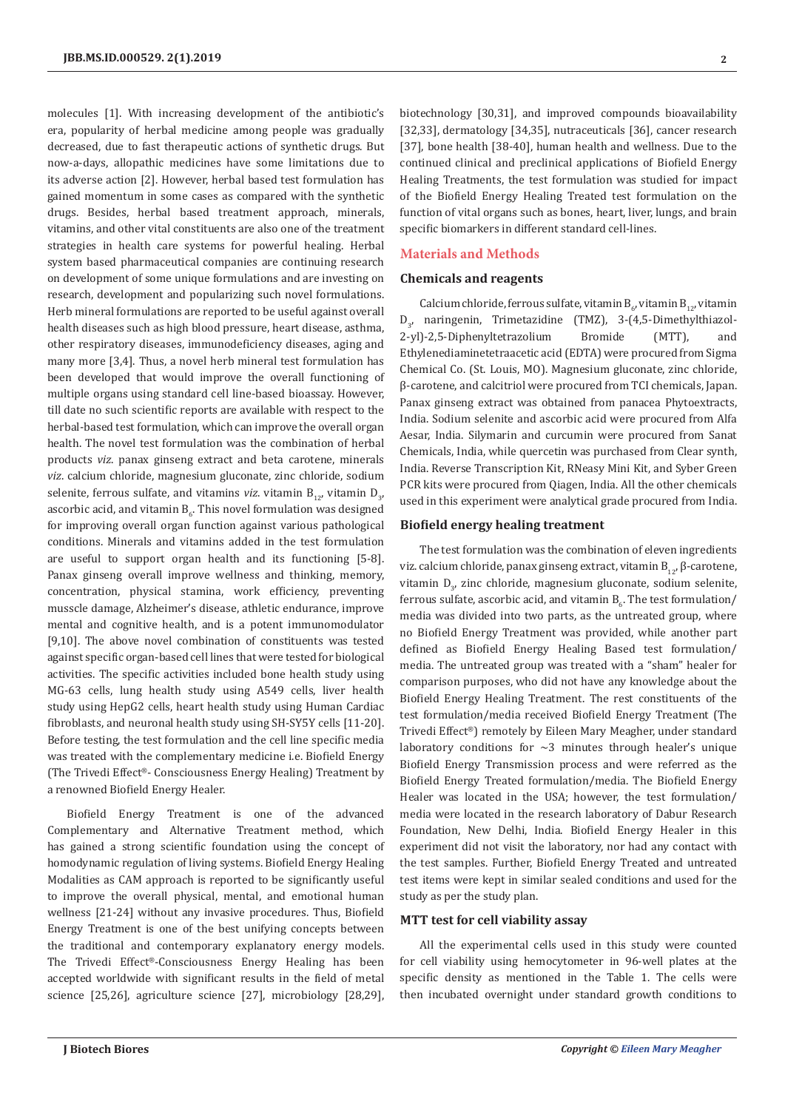molecules [1]. With increasing development of the antibiotic's era, popularity of herbal medicine among people was gradually decreased, due to fast therapeutic actions of synthetic drugs. But now-a-days, allopathic medicines have some limitations due to its adverse action [2]. However, herbal based test formulation has gained momentum in some cases as compared with the synthetic drugs. Besides, herbal based treatment approach, minerals, vitamins, and other vital constituents are also one of the treatment strategies in health care systems for powerful healing. Herbal system based pharmaceutical companies are continuing research on development of some unique formulations and are investing on research, development and popularizing such novel formulations. Herb mineral formulations are reported to be useful against overall health diseases such as high blood pressure, heart disease, asthma, other respiratory diseases, immunodeficiency diseases, aging and many more [3,4]. Thus, a novel herb mineral test formulation has been developed that would improve the overall functioning of multiple organs using standard cell line-based bioassay. However, till date no such scientific reports are available with respect to the herbal-based test formulation, which can improve the overall organ health. The novel test formulation was the combination of herbal products *viz*. panax ginseng extract and beta carotene, minerals *viz*. calcium chloride, magnesium gluconate, zinc chloride, sodium selenite, ferrous sulfate, and vitamins *viz*. vitamin  $B_{12}$ , vitamin  $D_{3}$ , ascorbic acid, and vitamin  $\mathtt{B}_{6}.$  This novel formulation was designed for improving overall organ function against various pathological conditions. Minerals and vitamins added in the test formulation are useful to support organ health and its functioning [5-8]. Panax ginseng overall improve wellness and thinking, memory, concentration, physical stamina, work efficiency, preventing musscle damage, Alzheimer's disease, athletic endurance, improve mental and cognitive health, and is a potent immunomodulator [9,10]. The above novel combination of constituents was tested against specific organ-based cell lines that were tested for biological activities. The specific activities included bone health study using MG-63 cells, lung health study using A549 cells, liver health study using HepG2 cells, heart health study using Human Cardiac fibroblasts, and neuronal health study using SH-SY5Y cells [11-20]. Before testing, the test formulation and the cell line specific media was treated with the complementary medicine i.e. Biofield Energy (The Trivedi Effect®- Consciousness Energy Healing) Treatment by a renowned Biofield Energy Healer.

Biofield Energy Treatment is one of the advanced Complementary and Alternative Treatment method, which has gained a strong scientific foundation using the concept of homodynamic regulation of living systems. Biofield Energy Healing Modalities as CAM approach is reported to be significantly useful to improve the overall physical, mental, and emotional human wellness [21-24] without any invasive procedures. Thus, Biofield Energy Treatment is one of the best unifying concepts between the traditional and contemporary explanatory energy models. The Trivedi Effect®-Consciousness Energy Healing has been accepted worldwide with significant results in the field of metal science [25,26], agriculture science [27], microbiology [28,29],

biotechnology [30,31], and improved compounds bioavailability [32,33], dermatology [34,35], nutraceuticals [36], cancer research [37], bone health [38-40], human health and wellness. Due to the continued clinical and preclinical applications of Biofield Energy Healing Treatments, the test formulation was studied for impact of the Biofield Energy Healing Treated test formulation on the function of vital organs such as bones, heart, liver, lungs, and brain specific biomarkers in different standard cell-lines.

#### **Materials and Methods**

#### **Chemicals and reagents**

Calcium chloride, ferrous sulfate, vitamin B<sub>6</sub>, vitamin B<sub>12</sub>, vitamin D<sub>3</sub>, naringenin, Trimetazidine (TMZ), 3-(4,5-Dimethylthiazol-2-yl)-2,5-Diphenyltetrazolium Bromide (MTT), and Ethylenediaminetetraacetic acid (EDTA) were procured from Sigma Chemical Co. (St. Louis, MO). Magnesium gluconate, zinc chloride, β-carotene, and calcitriol were procured from TCI chemicals, Japan. Panax ginseng extract was obtained from panacea Phytoextracts, India. Sodium selenite and ascorbic acid were procured from Alfa Aesar, India. Silymarin and curcumin were procured from Sanat Chemicals, India, while quercetin was purchased from Clear synth, India. Reverse Transcription Kit, RNeasy Mini Kit, and Syber Green PCR kits were procured from Qiagen, India. All the other chemicals used in this experiment were analytical grade procured from India.

# **Biofield energy healing treatment**

The test formulation was the combination of eleven ingredients viz. calcium chloride, panax ginseng extract, vitamin  $B_{12}$ , β-carotene, vitamin  $D_{3'}$ , zinc chloride, magnesium gluconate, sodium selenite, ferrous sulfate, ascorbic acid, and vitamin  $B_{6}$ . The test formulation/ media was divided into two parts, as the untreated group, where no Biofield Energy Treatment was provided, while another part defined as Biofield Energy Healing Based test formulation/ media. The untreated group was treated with a "sham" healer for comparison purposes, who did not have any knowledge about the Biofield Energy Healing Treatment. The rest constituents of the test formulation/media received Biofield Energy Treatment (The Trivedi Effect®) remotely by Eileen Mary Meagher, under standard laboratory conditions for  $\sim$ 3 minutes through healer's unique Biofield Energy Transmission process and were referred as the Biofield Energy Treated formulation/media. The Biofield Energy Healer was located in the USA; however, the test formulation/ media were located in the research laboratory of Dabur Research Foundation, New Delhi, India. Biofield Energy Healer in this experiment did not visit the laboratory, nor had any contact with the test samples. Further, Biofield Energy Treated and untreated test items were kept in similar sealed conditions and used for the study as per the study plan.

### **MTT test for cell viability assay**

All the experimental cells used in this study were counted for cell viability using hemocytometer in 96-well plates at the specific density as mentioned in the Table 1. The cells were then incubated overnight under standard growth conditions to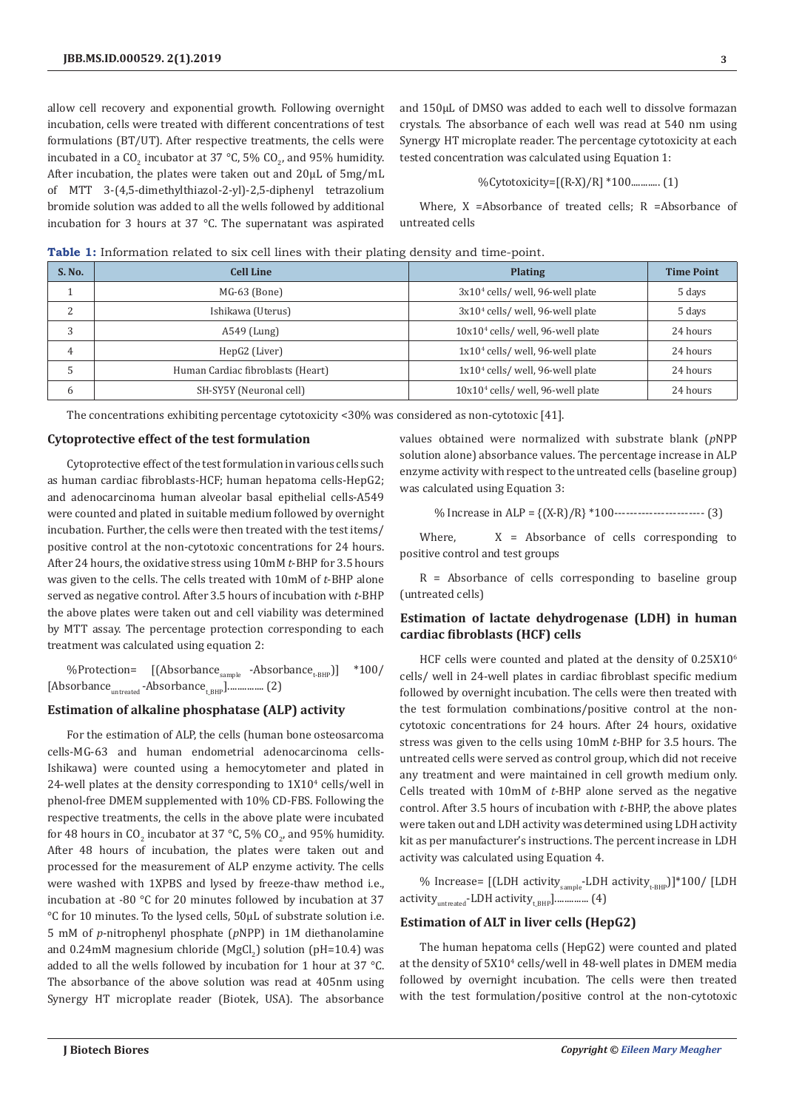allow cell recovery and exponential growth. Following overnight incubation, cells were treated with different concentrations of test formulations (BT/UT). After respective treatments, the cells were incubated in a CO<sub>2</sub> incubator at 37 °C, 5% CO<sub>2</sub>, and 95% humidity. After incubation, the plates were taken out and 20µL of 5mg/mL of MTT 3-(4,5-dimethylthiazol-2-yl)-2,5-diphenyl tetrazolium bromide solution was added to all the wells followed by additional incubation for 3 hours at 37 °C. The supernatant was aspirated

and 150µL of DMSO was added to each well to dissolve formazan crystals. The absorbance of each well was read at 540 nm using Synergy HT microplate reader. The percentage cytotoxicity at each tested concentration was calculated using Equation 1:

$$
\%Cytotoxicity=[(R-X)/R] * 100
$$
............ (1)

Where, X =Absorbance of treated cells; R =Absorbance of untreated cells

| S. No. | <b>Cell Line</b>                  | <b>Plating</b>                      | <b>Time Point</b> |
|--------|-----------------------------------|-------------------------------------|-------------------|
|        | $MG-63$ (Bone)                    | $3x104$ cells/ well, 96-well plate  | 5 days            |
| っ<br>∠ | Ishikawa (Uterus)                 | $3x104$ cells/ well, 96-well plate  | 5 days            |
| 3      | $A549$ (Lung)                     | $10x104$ cells/ well, 96-well plate | 24 hours          |
| 4      | HepG2 (Liver)                     | $1x104$ cells/ well, 96-well plate  | 24 hours          |
| 5      | Human Cardiac fibroblasts (Heart) | $1x104$ cells/ well, 96-well plate  | 24 hours          |
| 6      | SH-SY5Y (Neuronal cell)           | $10x104$ cells/ well, 96-well plate | 24 hours          |

**Table 1:** Information related to six cell lines with their plating density and time-point.

The concentrations exhibiting percentage cytotoxicity <30% was considered as non-cytotoxic [41].

#### **Cytoprotective effect of the test formulation**

Cytoprotective effect of the test formulation in various cells such as human cardiac fibroblasts-HCF; human hepatoma cells-HepG2; and adenocarcinoma human alveolar basal epithelial cells-A549 were counted and plated in suitable medium followed by overnight incubation. Further, the cells were then treated with the test items/ positive control at the non-cytotoxic concentrations for 24 hours. After 24 hours, the oxidative stress using 10mM *t*-BHP for 3.5 hours was given to the cells. The cells treated with 10mM of *t*-BHP alone served as negative control. After 3.5 hours of incubation with *t*-BHP the above plates were taken out and cell viability was determined by MTT assay. The percentage protection corresponding to each treatment was calculated using equation 2:

%Protection= [(Absorbance<sub>sample</sub> -Absorbance<sub>t-BHP</sub>)] \*100/ [Absorbance<sub>untreated</sub> -Absorbance<sub>t\_BHP</sub>]................ (2)

## **Estimation of alkaline phosphatase (ALP) activity**

For the estimation of ALP, the cells (human bone osteosarcoma cells-MG-63 and human endometrial adenocarcinoma cells-Ishikawa) were counted using a hemocytometer and plated in 24-well plates at the density corresponding to  $1X10<sup>4</sup>$  cells/well in phenol-free DMEM supplemented with 10% CD-FBS. Following the respective treatments, the cells in the above plate were incubated for 48 hours in CO<sub>2</sub> incubator at 37 °C, 5% CO<sub>2</sub>, and 95% humidity. After 48 hours of incubation, the plates were taken out and processed for the measurement of ALP enzyme activity. The cells were washed with 1XPBS and lysed by freeze-thaw method i.e., incubation at -80 °C for 20 minutes followed by incubation at 37 °C for 10 minutes. To the lysed cells, 50µL of substrate solution i.e. 5 mM of *p*-nitrophenyl phosphate (*p*NPP) in 1M diethanolamine and  $0.24$ mM magnesium chloride (MgCl<sub>2</sub>) solution (pH=10.4) was added to all the wells followed by incubation for 1 hour at 37 °C. The absorbance of the above solution was read at 405nm using Synergy HT microplate reader (Biotek, USA). The absorbance

values obtained were normalized with substrate blank (*p*NPP solution alone) absorbance values. The percentage increase in ALP enzyme activity with respect to the untreated cells (baseline group) was calculated using Equation 3:

% Increase in ALP =  ${(X-R)/R} * 100$ ------------------------ (3)

Where,  $X =$  Absorbance of cells corresponding to positive control and test groups

R = Absorbance of cells corresponding to baseline group (untreated cells)

# **Estimation of lactate dehydrogenase (LDH) in human cardiac fibroblasts (HCF) cells**

HCF cells were counted and plated at the density of 0.25X10<sup>6</sup> cells/ well in 24-well plates in cardiac fibroblast specific medium followed by overnight incubation. The cells were then treated with the test formulation combinations/positive control at the noncytotoxic concentrations for 24 hours. After 24 hours, oxidative stress was given to the cells using 10mM *t*-BHP for 3.5 hours. The untreated cells were served as control group, which did not receive any treatment and were maintained in cell growth medium only. Cells treated with 10mM of *t*-BHP alone served as the negative control. After 3.5 hours of incubation with *t*-BHP, the above plates were taken out and LDH activity was determined using LDH activity kit as per manufacturer's instructions. The percent increase in LDH activity was calculated using Equation 4.

% Increase=  $[(LDH activity<sub>sample</sub>-LDH activity<sub>t-BHP</sub>)]*100/[LDH]$  $activity_{untreated}$ -LDH activity $_{HHH}$ .............. (4)

# **Estimation of ALT in liver cells (HepG2)**

The human hepatoma cells (HepG2) were counted and plated at the density of 5X10<sup>4</sup> cells/well in 48-well plates in DMEM media followed by overnight incubation. The cells were then treated with the test formulation/positive control at the non-cytotoxic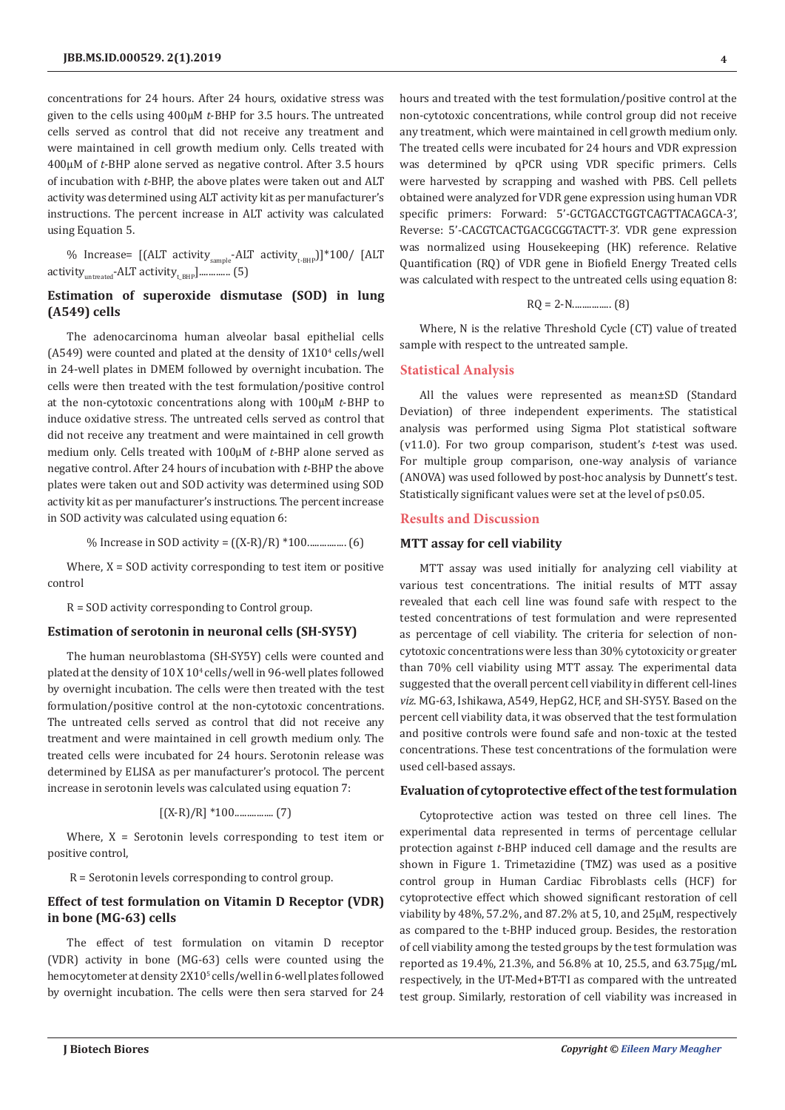concentrations for 24 hours. After 24 hours, oxidative stress was given to the cells using 400µM *t*-BHP for 3.5 hours. The untreated cells served as control that did not receive any treatment and were maintained in cell growth medium only. Cells treated with 400µM of *t*-BHP alone served as negative control. After 3.5 hours of incubation with *t*-BHP, the above plates were taken out and ALT activity was determined using ALT activity kit as per manufacturer's instructions. The percent increase in ALT activity was calculated using Equation 5.

% Increase=  $[(ALT activity<sub>sample</sub>-ALT activity<sub>t-BHP</sub>)]*100/[ALT]$ activity<sub>untreated</sub>-ALT activity<sub>t BHP</sub>].............. (5)

# **Estimation of superoxide dismutase (SOD) in lung (A549) cells**

The adenocarcinoma human alveolar basal epithelial cells  $(A549)$  were counted and plated at the density of  $1X10<sup>4</sup>$  cells/well in 24-well plates in DMEM followed by overnight incubation. The cells were then treated with the test formulation/positive control at the non-cytotoxic concentrations along with 100µM *t*-BHP to induce oxidative stress. The untreated cells served as control that did not receive any treatment and were maintained in cell growth medium only. Cells treated with 100µM of *t*-BHP alone served as negative control. After 24 hours of incubation with *t*-BHP the above plates were taken out and SOD activity was determined using SOD activity kit as per manufacturer's instructions. The percent increase in SOD activity was calculated using equation 6:

% Increase in SOD activity = ((X-R)/R) \*100................ (6)

Where,  $X = SOD$  activity corresponding to test item or positive control

R = SOD activity corresponding to Control group.

#### **Estimation of serotonin in neuronal cells (SH-SY5Y)**

The human neuroblastoma (SH-SY5Y) cells were counted and plated at the density of 10 X 104 cells/well in 96-well plates followed by overnight incubation. The cells were then treated with the test formulation/positive control at the non-cytotoxic concentrations. The untreated cells served as control that did not receive any treatment and were maintained in cell growth medium only. The treated cells were incubated for 24 hours. Serotonin release was determined by ELISA as per manufacturer's protocol. The percent increase in serotonin levels was calculated using equation 7:

$$
[(X-R)/R] * 100 \dots (7)
$$

Where,  $X =$  Serotonin levels corresponding to test item or positive control,

R = Serotonin levels corresponding to control group.

## **Effect of test formulation on Vitamin D Receptor (VDR) in bone (MG-63) cells**

The effect of test formulation on vitamin D receptor (VDR) activity in bone (MG-63) cells were counted using the hemocytometer at density 2X10<sup>5</sup> cells/well in 6-well plates followed by overnight incubation. The cells were then sera starved for 24

hours and treated with the test formulation/positive control at the non-cytotoxic concentrations, while control group did not receive any treatment, which were maintained in cell growth medium only. The treated cells were incubated for 24 hours and VDR expression was determined by qPCR using VDR specific primers. Cells were harvested by scrapping and washed with PBS. Cell pellets obtained were analyzed for VDR gene expression using human VDR specific primers: Forward: 5'-GCTGACCTGGTCAGTTACAGCA-3', Reverse: 5'-CACGTCACTGACGCGGTACTT-3'. VDR gene expression was normalized using Housekeeping (HK) reference. Relative Quantification (RQ) of VDR gene in Biofield Energy Treated cells was calculated with respect to the untreated cells using equation 8:

$$
RQ = 2-N
$$
............ (8)

Where, N is the relative Threshold Cycle (CT) value of treated sample with respect to the untreated sample.

# **Statistical Analysis**

All the values were represented as mean±SD (Standard Deviation) of three independent experiments. The statistical analysis was performed using Sigma Plot statistical software (v11.0). For two group comparison, student's *t*-test was used. For multiple group comparison, one-way analysis of variance (ANOVA) was used followed by post-hoc analysis by Dunnett's test. Statistically significant values were set at the level of p≤0.05.

#### **Results and Discussion**

## **MTT assay for cell viability**

MTT assay was used initially for analyzing cell viability at various test concentrations. The initial results of MTT assay revealed that each cell line was found safe with respect to the tested concentrations of test formulation and were represented as percentage of cell viability. The criteria for selection of noncytotoxic concentrations were less than 30% cytotoxicity or greater than 70% cell viability using MTT assay. The experimental data suggested that the overall percent cell viability in different cell-lines *viz*. MG-63, Ishikawa, A549, HepG2, HCF, and SH-SY5Y. Based on the percent cell viability data, it was observed that the test formulation and positive controls were found safe and non-toxic at the tested concentrations. These test concentrations of the formulation were used cell-based assays.

#### **Evaluation of cytoprotective effect of the test formulation**

Cytoprotective action was tested on three cell lines. The experimental data represented in terms of percentage cellular protection against *t*-BHP induced cell damage and the results are shown in Figure 1. Trimetazidine (TMZ) was used as a positive control group in Human Cardiac Fibroblasts cells (HCF) for cytoprotective effect which showed significant restoration of cell viability by 48%, 57.2%, and 87.2% at 5, 10, and 25µM, respectively as compared to the t-BHP induced group. Besides, the restoration of cell viability among the tested groups by the test formulation was reported as 19.4%, 21.3%, and 56.8% at 10, 25.5, and 63.75µg/mL respectively, in the UT-Med+BT-TI as compared with the untreated test group. Similarly, restoration of cell viability was increased in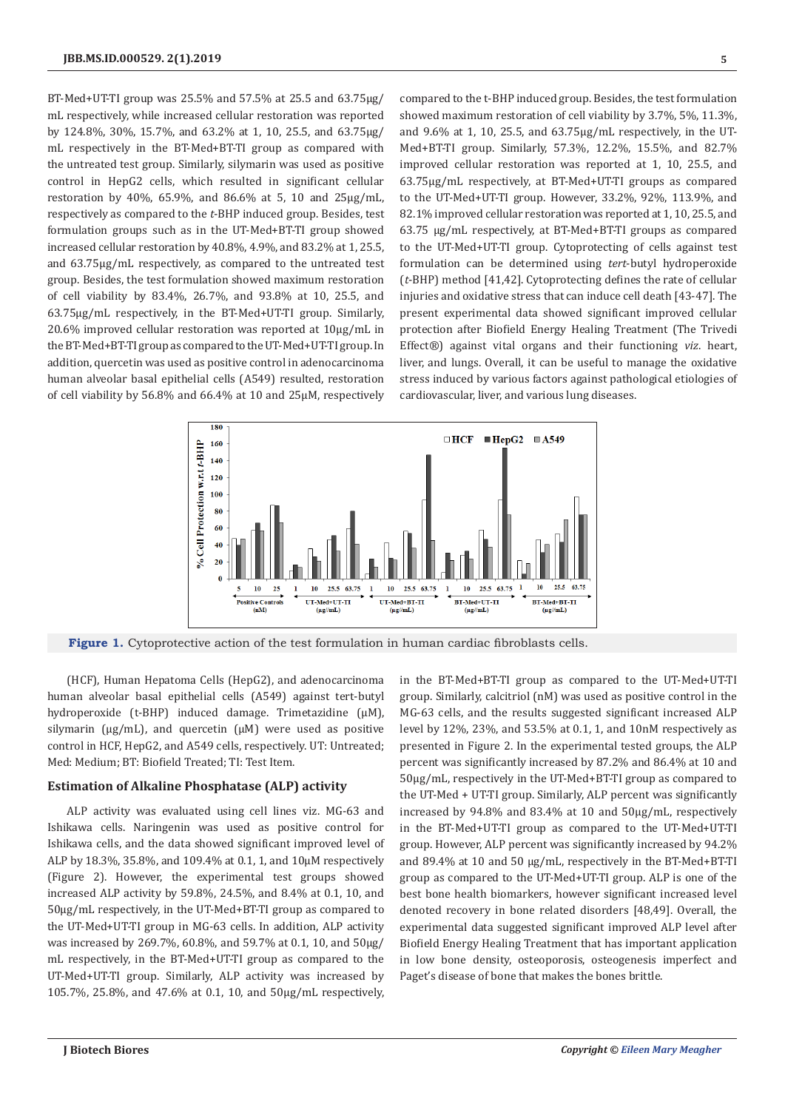BT-Med+UT-TI group was 25.5% and 57.5% at 25.5 and 63.75µg/ mL respectively, while increased cellular restoration was reported by 124.8%, 30%, 15.7%, and 63.2% at 1, 10, 25.5, and 63.75µg/ mL respectively in the BT-Med+BT-TI group as compared with the untreated test group. Similarly, silymarin was used as positive control in HepG2 cells, which resulted in significant cellular restoration by 40%, 65.9%, and 86.6% at 5, 10 and 25µg/mL, respectively as compared to the *t*-BHP induced group. Besides, test formulation groups such as in the UT-Med+BT-TI group showed increased cellular restoration by 40.8%, 4.9%, and 83.2% at 1, 25.5, and 63.75µg/mL respectively, as compared to the untreated test group. Besides, the test formulation showed maximum restoration of cell viability by 83.4%, 26.7%, and 93.8% at 10, 25.5, and 63.75µg/mL respectively, in the BT-Med+UT-TI group. Similarly, 20.6% improved cellular restoration was reported at 10µg/mL in the BT-Med+BT-TI group as compared to the UT-Med+UT-TI group. In addition, quercetin was used as positive control in adenocarcinoma human alveolar basal epithelial cells (A549) resulted, restoration of cell viability by 56.8% and 66.4% at 10 and 25µM, respectively

compared to the t-BHP induced group. Besides, the test formulation showed maximum restoration of cell viability by 3.7%, 5%, 11.3%, and 9.6% at 1, 10, 25.5, and 63.75µg/mL respectively, in the UT-Med+BT-TI group. Similarly, 57.3%, 12.2%, 15.5%, and 82.7% improved cellular restoration was reported at 1, 10, 25.5, and 63.75µg/mL respectively, at BT-Med+UT-TI groups as compared to the UT-Med+UT-TI group. However, 33.2%, 92%, 113.9%, and 82.1% improved cellular restoration was reported at 1, 10, 25.5, and 63.75 µg/mL respectively, at BT-Med+BT-TI groups as compared to the UT-Med+UT-TI group. Cytoprotecting of cells against test formulation can be determined using *tert*-butyl hydroperoxide (*t*-BHP) method [41,42]. Cytoprotecting defines the rate of cellular injuries and oxidative stress that can induce cell death [43-47]. The present experimental data showed significant improved cellular protection after Biofield Energy Healing Treatment (The Trivedi Effect*®*) against vital organs and their functioning *viz*. heart, liver, and lungs. Overall, it can be useful to manage the oxidative stress induced by various factors against pathological etiologies of cardiovascular, liver, and various lung diseases.



**Figure 1.** Cytoprotective action of the test formulation in human cardiac fibroblasts cells.

(HCF), Human Hepatoma Cells (HepG2), and adenocarcinoma human alveolar basal epithelial cells (A549) against tert-butyl hydroperoxide (t-BHP) induced damage. Trimetazidine (µM), silymarin ( $\mu$ g/mL), and quercetin ( $\mu$ M) were used as positive control in HCF, HepG2, and A549 cells, respectively. UT: Untreated; Med: Medium; BT: Biofield Treated; TI: Test Item.

#### **Estimation of Alkaline Phosphatase (ALP) activity**

ALP activity was evaluated using cell lines viz. MG-63 and Ishikawa cells. Naringenin was used as positive control for Ishikawa cells, and the data showed significant improved level of ALP by 18.3%, 35.8%, and 109.4% at 0.1, 1, and 10µM respectively (Figure 2). However, the experimental test groups showed increased ALP activity by 59.8%, 24.5%, and 8.4% at 0.1, 10, and 50µg/mL respectively, in the UT-Med+BT-TI group as compared to the UT-Med+UT-TI group in MG-63 cells. In addition, ALP activity was increased by 269.7%, 60.8%, and 59.7% at 0.1, 10, and 50µg/ mL respectively, in the BT-Med+UT-TI group as compared to the UT-Med+UT-TI group. Similarly, ALP activity was increased by 105.7%, 25.8%, and 47.6% at 0.1, 10, and 50µg/mL respectively,

in the BT-Med+BT-TI group as compared to the UT-Med+UT-TI group. Similarly, calcitriol (nM) was used as positive control in the MG-63 cells, and the results suggested significant increased ALP level by 12%, 23%, and 53.5% at 0.1, 1, and 10nM respectively as presented in Figure 2. In the experimental tested groups, the ALP percent was significantly increased by 87.2% and 86.4% at 10 and 50µg/mL, respectively in the UT-Med+BT-TI group as compared to the UT-Med + UT-TI group. Similarly, ALP percent was significantly increased by 94.8% and 83.4% at 10 and 50µg/mL, respectively in the BT-Med+UT-TI group as compared to the UT-Med+UT-TI group. However, ALP percent was significantly increased by 94.2% and 89.4% at 10 and 50 µg/mL, respectively in the BT-Med+BT-TI group as compared to the UT-Med+UT-TI group. ALP is one of the best bone health biomarkers, however significant increased level denoted recovery in bone related disorders [48,49]. Overall, the experimental data suggested significant improved ALP level after Biofield Energy Healing Treatment that has important application in low bone density, osteoporosis, osteogenesis imperfect and Paget's disease of bone that makes the bones brittle.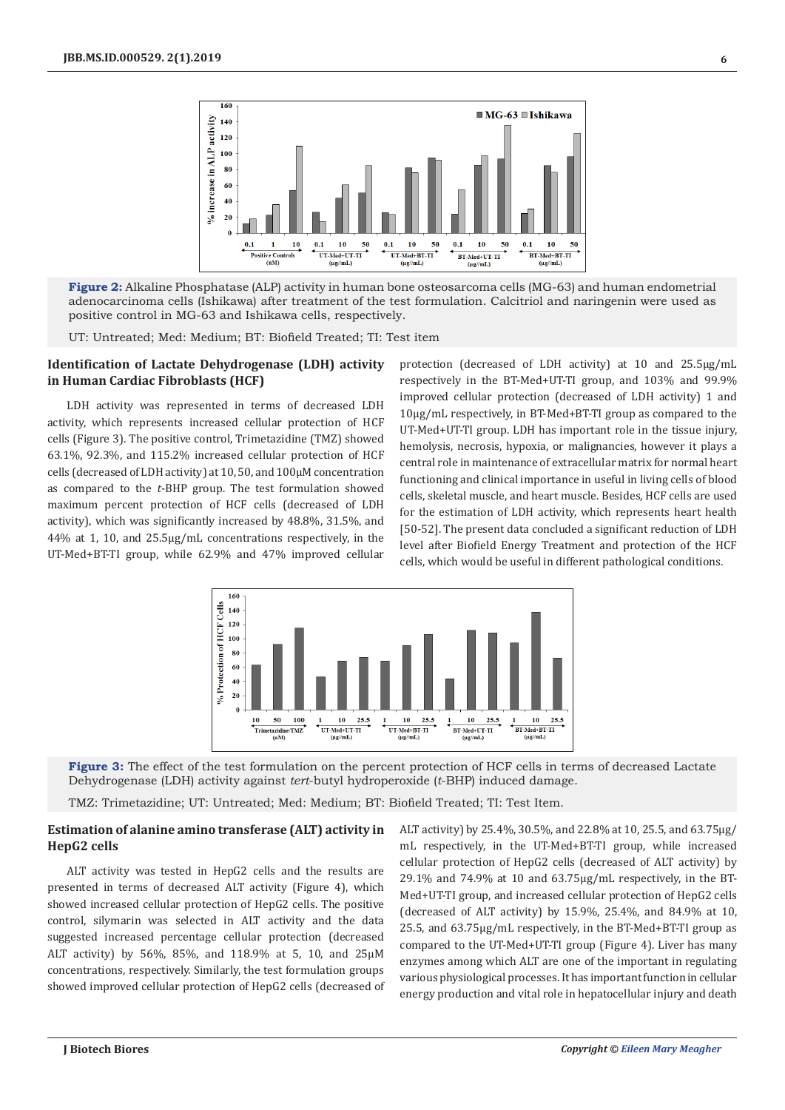

**Figure 2:** Alkaline Phosphatase (ALP) activity in human bone osteosarcoma cells (MG-63) and human endometrial adenocarcinoma cells (Ishikawa) after treatment of the test formulation. Calcitriol and naringenin were used as positive control in MG-63 and Ishikawa cells, respectively.

UT: Untreated; Med: Medium; BT: Biofield Treated; TI: Test item

# **Identification of Lactate Dehydrogenase (LDH) activity in Human Cardiac Fibroblasts (HCF)**

LDH activity was represented in terms of decreased LDH activity, which represents increased cellular protection of HCF cells (Figure 3). The positive control, Trimetazidine (TMZ) showed 63.1%, 92.3%, and 115.2% increased cellular protection of HCF cells (decreased of LDH activity) at 10, 50, and 100µM concentration as compared to the *t*-BHP group. The test formulation showed maximum percent protection of HCF cells (decreased of LDH activity), which was significantly increased by 48.8%, 31.5%, and 44% at 1, 10, and 25.5µg/mL concentrations respectively, in the UT-Med+BT-TI group, while 62.9% and 47% improved cellular

protection (decreased of LDH activity) at 10 and 25.5µg/mL respectively in the BT-Med+UT-TI group, and 103% and 99.9% improved cellular protection (decreased of LDH activity) 1 and 10µg/mL respectively, in BT-Med+BT-TI group as compared to the UT-Med+UT-TI group. LDH has important role in the tissue injury, hemolysis, necrosis, hypoxia, or malignancies, however it plays a central role in maintenance of extracellular matrix for normal heart functioning and clinical importance in useful in living cells of blood cells, skeletal muscle, and heart muscle. Besides, HCF cells are used for the estimation of LDH activity, which represents heart health [50-52]. The present data concluded a significant reduction of LDH level after Biofield Energy Treatment and protection of the HCF cells, which would be useful in different pathological conditions.



**Figure 3:** The effect of the test formulation on the percent protection of HCF cells in terms of decreased Lactate Dehydrogenase (LDH) activity against *tert*-butyl hydroperoxide (*t*-BHP) induced damage.

TMZ: Trimetazidine; UT: Untreated; Med: Medium; BT: Biofield Treated; TI: Test Item.

# **Estimation of alanine amino transferase (ALT) activity in HepG2 cells**

ALT activity was tested in HepG2 cells and the results are presented in terms of decreased ALT activity (Figure 4), which showed increased cellular protection of HepG2 cells. The positive control, silymarin was selected in ALT activity and the data suggested increased percentage cellular protection (decreased ALT activity) by 56%, 85%, and 118.9% at 5, 10, and 25µM concentrations, respectively. Similarly, the test formulation groups showed improved cellular protection of HepG2 cells (decreased of ALT activity) by 25.4%, 30.5%, and 22.8% at 10, 25.5, and 63.75µg/ mL respectively, in the UT-Med+BT-TI group, while increased cellular protection of HepG2 cells (decreased of ALT activity) by 29.1% and 74.9% at 10 and 63.75µg/mL respectively, in the BT-Med+UT-TI group, and increased cellular protection of HepG2 cells (decreased of ALT activity) by 15.9%, 25.4%, and 84.9% at 10, 25.5, and 63.75µg/mL respectively, in the BT-Med+BT-TI group as compared to the UT-Med+UT-TI group (Figure 4). Liver has many enzymes among which ALT are one of the important in regulating various physiological processes. It has important function in cellular energy production and vital role in hepatocellular injury and death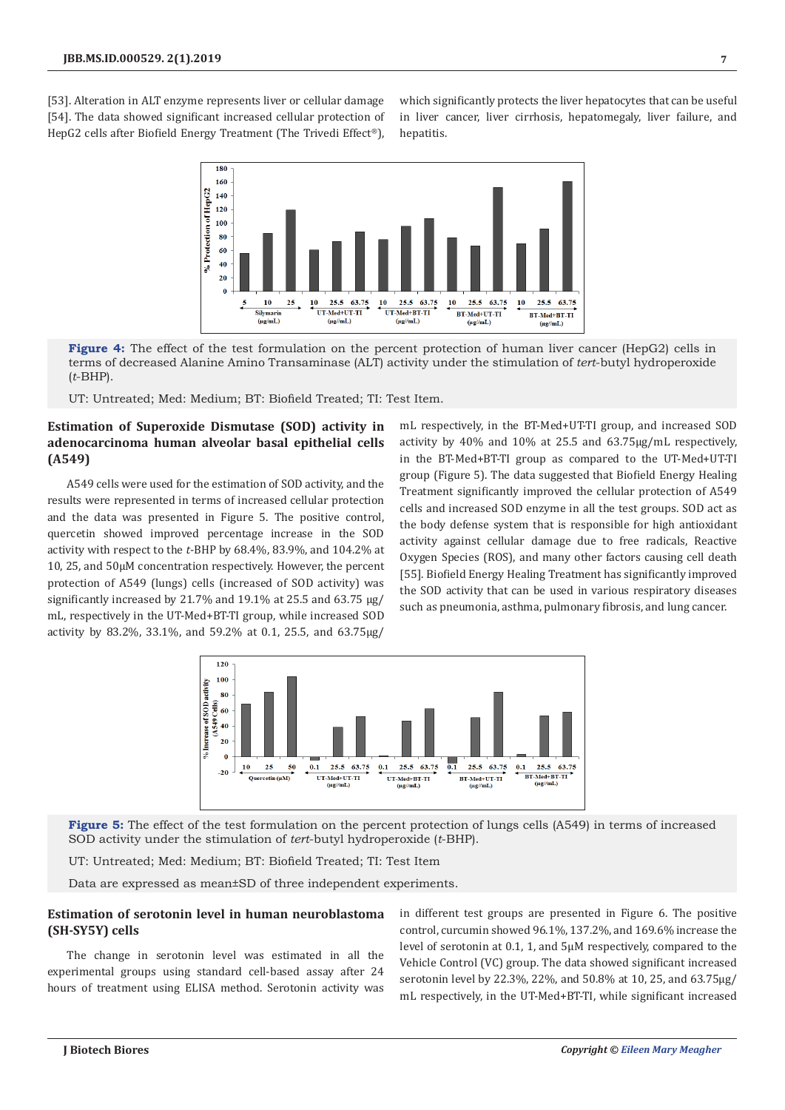[53]. Alteration in ALT enzyme represents liver or cellular damage [54]. The data showed significant increased cellular protection of HepG2 cells after Biofield Energy Treatment (The Trivedi Effect®),

which significantly protects the liver hepatocytes that can be useful in liver cancer, liver cirrhosis, hepatomegaly, liver failure, and hepatitis.



**Figure 4:** The effect of the test formulation on the percent protection of human liver cancer (HepG2) cells in terms of decreased Alanine Amino Transaminase (ALT) activity under the stimulation of *tert*-butyl hydroperoxide (*t*-BHP).

UT: Untreated; Med: Medium; BT: Biofield Treated; TI: Test Item.

# **Estimation of Superoxide Dismutase (SOD) activity in adenocarcinoma human alveolar basal epithelial cells (A549)**

A549 cells were used for the estimation of SOD activity, and the results were represented in terms of increased cellular protection and the data was presented in Figure 5. The positive control, quercetin showed improved percentage increase in the SOD activity with respect to the *t*-BHP by 68.4%, 83.9%, and 104.2% at 10, 25, and 50µM concentration respectively. However, the percent protection of A549 (lungs) cells (increased of SOD activity) was significantly increased by 21.7% and 19.1% at 25.5 and 63.75 µg/ mL, respectively in the UT-Med+BT-TI group, while increased SOD activity by 83.2%, 33.1%, and 59.2% at 0.1, 25.5, and 63.75µg/

mL respectively, in the BT-Med+UT-TI group, and increased SOD activity by 40% and 10% at 25.5 and 63.75µg/mL respectively, in the BT-Med+BT-TI group as compared to the UT-Med+UT-TI group (Figure 5). The data suggested that Biofield Energy Healing Treatment significantly improved the cellular protection of A549 cells and increased SOD enzyme in all the test groups. SOD act as the body defense system that is responsible for high antioxidant activity against cellular damage due to free radicals, Reactive Oxygen Species (ROS), and many other factors causing cell death [55]. Biofield Energy Healing Treatment has significantly improved the SOD activity that can be used in various respiratory diseases such as pneumonia, asthma, pulmonary fibrosis, and lung cancer.



**Figure 5:** The effect of the test formulation on the percent protection of lungs cells (A549) in terms of increased SOD activity under the stimulation of *tert*-butyl hydroperoxide (*t*-BHP).

UT: Untreated; Med: Medium; BT: Biofield Treated; TI: Test Item

Data are expressed as mean±SD of three independent experiments.

# **Estimation of serotonin level in human neuroblastoma (SH-SY5Y) cells**

The change in serotonin level was estimated in all the experimental groups using standard cell-based assay after 24 hours of treatment using ELISA method. Serotonin activity was

in different test groups are presented in Figure 6. The positive control, curcumin showed 96.1%, 137.2%, and 169.6% increase the level of serotonin at 0.1, 1, and 5µM respectively, compared to the Vehicle Control (VC) group. The data showed significant increased serotonin level by 22.3%, 22%, and 50.8% at 10, 25, and 63.75µg/ mL respectively, in the UT-Med+BT-TI, while significant increased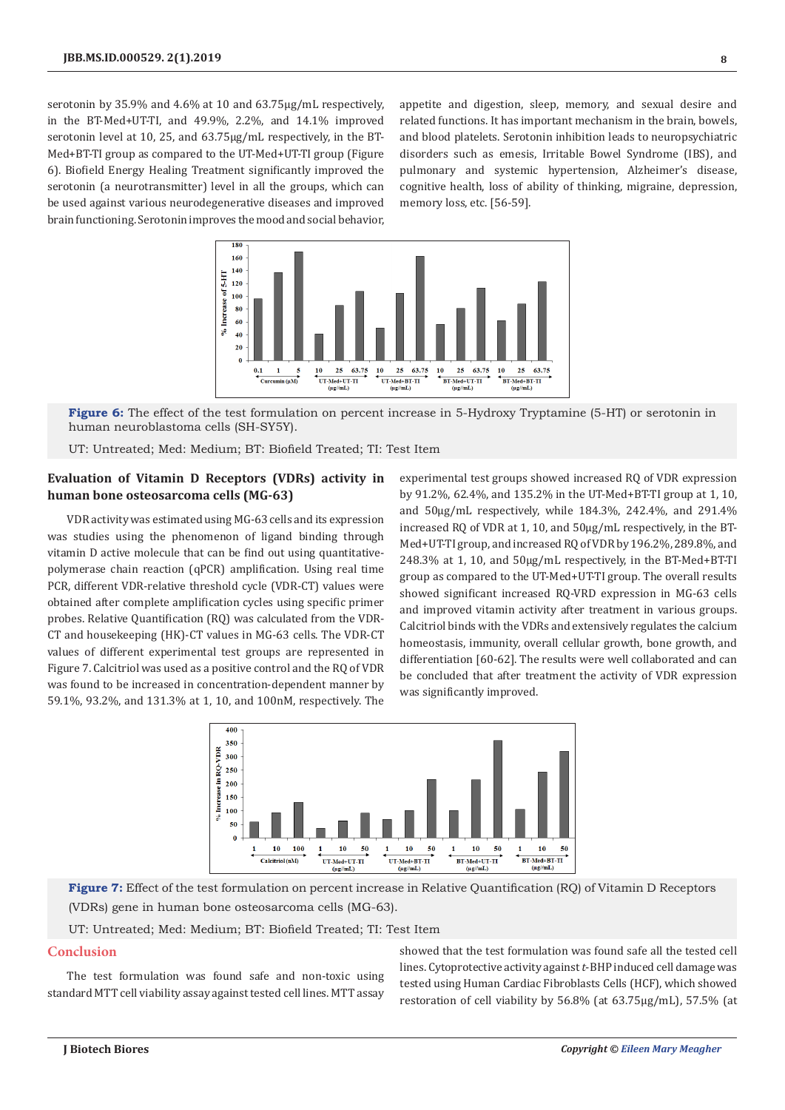serotonin by 35.9% and 4.6% at 10 and 63.75µg/mL respectively, in the BT-Med+UT-TI, and 49.9%, 2.2%, and 14.1% improved serotonin level at 10, 25, and 63.75µg/mL respectively, in the BT-Med+BT-TI group as compared to the UT-Med+UT-TI group (Figure 6). Biofield Energy Healing Treatment significantly improved the serotonin (a neurotransmitter) level in all the groups, which can be used against various neurodegenerative diseases and improved brain functioning. Serotonin improves the mood and social behavior,

appetite and digestion, sleep, memory, and sexual desire and related functions. It has important mechanism in the brain, bowels, and blood platelets. Serotonin inhibition leads to neuropsychiatric disorders such as emesis, Irritable Bowel Syndrome (IBS), and pulmonary and systemic hypertension, Alzheimer's disease, cognitive health, loss of ability of thinking, migraine, depression, memory loss, etc. [56-59].



**Figure 6:** The effect of the test formulation on percent increase in 5-Hydroxy Tryptamine (5-HT) or serotonin in human neuroblastoma cells (SH-SY5Y).

UT: Untreated; Med: Medium; BT: Biofield Treated; TI: Test Item

## **Evaluation of Vitamin D Receptors (VDRs) activity in human bone osteosarcoma cells (MG-63)**

VDR activity was estimated using MG-63 cells and its expression was studies using the phenomenon of ligand binding through vitamin D active molecule that can be find out using quantitativepolymerase chain reaction (qPCR) amplification. Using real time PCR, different VDR-relative threshold cycle (VDR-CT) values were obtained after complete amplification cycles using specific primer probes. Relative Quantification (RQ) was calculated from the VDR-CT and housekeeping (HK)-CT values in MG-63 cells. The VDR-CT values of different experimental test groups are represented in Figure 7. Calcitriol was used as a positive control and the RQ of VDR was found to be increased in concentration-dependent manner by 59.1%, 93.2%, and 131.3% at 1, 10, and 100nM, respectively. The

experimental test groups showed increased RQ of VDR expression by 91.2%, 62.4%, and 135.2% in the UT-Med+BT-TI group at 1, 10, and 50µg/mL respectively, while 184.3%, 242.4%, and 291.4% increased RQ of VDR at 1, 10, and 50µg/mL respectively, in the BT-Med+UT-TI group, and increased RQ of VDR by 196.2%, 289.8%, and 248.3% at 1, 10, and 50µg/mL respectively, in the BT-Med+BT-TI group as compared to the UT-Med+UT-TI group. The overall results showed significant increased RQ-VRD expression in MG-63 cells and improved vitamin activity after treatment in various groups. Calcitriol binds with the VDRs and extensively regulates the calcium homeostasis, immunity, overall cellular growth, bone growth, and differentiation [60-62]. The results were well collaborated and can be concluded that after treatment the activity of VDR expression was significantly improved.



**Figure 7:** Effect of the test formulation on percent increase in Relative Quantification (RQ) of Vitamin D Receptors (VDRs) gene in human bone osteosarcoma cells (MG-63).

UT: Untreated; Med: Medium; BT: Biofield Treated; TI: Test Item

## **Conclusion**

The test formulation was found safe and non-toxic using standard MTT cell viability assay against tested cell lines. MTT assay

showed that the test formulation was found safe all the tested cell lines. Cytoprotective activity against *t*-BHP induced cell damage was tested using Human Cardiac Fibroblasts Cells (HCF), which showed restoration of cell viability by 56.8% (at 63.75µg/mL), 57.5% (at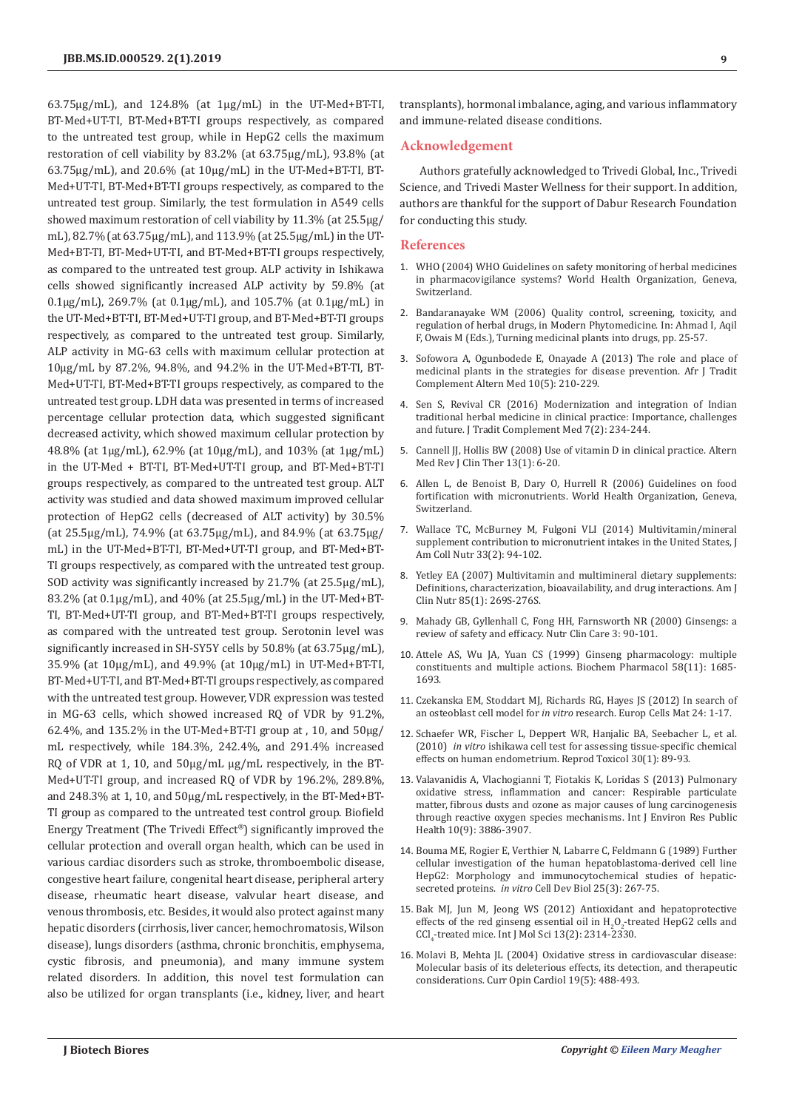63.75µg/mL), and 124.8% (at 1µg/mL) in the UT-Med+BT-TI, BT-Med+UT-TI, BT-Med+BT-TI groups respectively, as compared to the untreated test group, while in HepG2 cells the maximum restoration of cell viability by 83.2% (at 63.75µg/mL), 93.8% (at 63.75µg/mL), and 20.6% (at 10µg/mL) in the UT-Med+BT-TI, BT-Med+UT-TI, BT-Med+BT-TI groups respectively, as compared to the untreated test group. Similarly, the test formulation in A549 cells showed maximum restoration of cell viability by 11.3% (at 25.5µg/ mL), 82.7% (at 63.75µg/mL), and 113.9% (at 25.5µg/mL) in the UT-Med+BT-TI, BT-Med+UT-TI, and BT-Med+BT-TI groups respectively, as compared to the untreated test group. ALP activity in Ishikawa cells showed significantly increased ALP activity by 59.8% (at 0.1µg/mL), 269.7% (at 0.1µg/mL), and 105.7% (at 0.1µg/mL) in the UT-Med+BT-TI, BT-Med+UT-TI group, and BT-Med+BT-TI groups respectively, as compared to the untreated test group. Similarly, ALP activity in MG-63 cells with maximum cellular protection at 10µg/mL by 87.2%, 94.8%, and 94.2% in the UT-Med+BT-TI, BT-Med+UT-TI, BT-Med+BT-TI groups respectively, as compared to the untreated test group. LDH data was presented in terms of increased percentage cellular protection data, which suggested significant decreased activity, which showed maximum cellular protection by 48.8% (at 1µg/mL), 62.9% (at 10µg/mL), and 103% (at 1µg/mL) in the UT-Med + BT-TI, BT-Med+UT-TI group, and BT-Med+BT-TI groups respectively, as compared to the untreated test group. ALT activity was studied and data showed maximum improved cellular protection of HepG2 cells (decreased of ALT activity) by 30.5% (at 25.5µg/mL), 74.9% (at 63.75µg/mL), and 84.9% (at 63.75µg/ mL) in the UT-Med+BT-TI, BT-Med+UT-TI group, and BT-Med+BT-TI groups respectively, as compared with the untreated test group. SOD activity was significantly increased by 21.7% (at 25.5µg/mL), 83.2% (at 0.1µg/mL), and 40% (at 25.5µg/mL) in the UT-Med+BT-TI, BT-Med+UT-TI group, and BT-Med+BT-TI groups respectively, as compared with the untreated test group. Serotonin level was significantly increased in SH-SY5Y cells by 50.8% (at 63.75µg/mL), 35.9% (at 10µg/mL), and 49.9% (at 10µg/mL) in UT-Med+BT-TI, BT-Med+UT-TI, and BT-Med+BT-TI groups respectively, as compared with the untreated test group. However, VDR expression was tested in MG-63 cells, which showed increased RQ of VDR by 91.2%, 62.4%, and 135.2% in the UT-Med+BT-TI group at , 10, and  $50\mu$ g/ mL respectively, while 184.3%, 242.4%, and 291.4% increased RQ of VDR at 1, 10, and 50µg/mL µg/mL respectively, in the BT-Med+UT-TI group, and increased RQ of VDR by 196.2%, 289.8%, and 248.3% at 1, 10, and 50µg/mL respectively, in the BT-Med+BT-TI group as compared to the untreated test control group. Biofield Energy Treatment (The Trivedi Effect*®*) significantly improved the cellular protection and overall organ health, which can be used in various cardiac disorders such as stroke, thromboembolic disease, congestive heart failure, congenital heart disease, peripheral artery disease, rheumatic heart disease, valvular heart disease, and venous thrombosis, etc. Besides, it would also protect against many hepatic disorders (cirrhosis, liver cancer, hemochromatosis, Wilson disease), lungs disorders (asthma, chronic bronchitis, emphysema, cystic fibrosis, and pneumonia), and many immune system related disorders. In addition, this novel test formulation can also be utilized for organ transplants (i.e., kidney, liver, and heart transplants), hormonal imbalance, aging, and various inflammatory and immune-related disease conditions.

#### **Acknowledgement**

Authors gratefully acknowledged to Trivedi Global, Inc., Trivedi Science, and Trivedi Master Wellness for their support. In addition, authors are thankful for the support of Dabur Research Foundation for conducting this study.

#### **References**

- 1. [WHO \(2004\) WHO Guidelines on safety monitoring of herbal medicines](https://apps.who.int/iris/handle/10665/43034) [in pharmacovigilance systems? World Health Organization, Geneva,](https://apps.who.int/iris/handle/10665/43034) [Switzerland.](https://apps.who.int/iris/handle/10665/43034)
- 2. [Bandaranayake WM \(2006\) Quality control, screening, toxicity, and](https://onlinelibrary.wiley.com/doi/abs/10.1002/9783527609987.ch2) [regulation of herbal drugs, in Modern Phytomedicine. In: Ahmad I, Aqil](https://onlinelibrary.wiley.com/doi/abs/10.1002/9783527609987.ch2) [F, Owais M \(Eds.\), Turning medicinal plants into drugs, pp. 25-57.](https://onlinelibrary.wiley.com/doi/abs/10.1002/9783527609987.ch2)
- 3. Sofowora A, Ogunbodede E, Onayade A (2013) The role and place of medicinal plants in the strategies for disease prevention. Afr J Tradit Complement Altern Med 10(5): 210-229.
- 4. [Sen S, Revival CR \(2016\) Modernization and integration of Indian](https://www.ncbi.nlm.nih.gov/pubmed/24311829/) [traditional herbal medicine in clinical practice: Importance, challenges](https://www.ncbi.nlm.nih.gov/pubmed/24311829/) [and future. J Tradit Complement Med 7\(2\): 234-244.](https://www.ncbi.nlm.nih.gov/pubmed/24311829/)
- 5. [Cannell JJ, Hollis BW \(2008\) Use of vitamin D in clinical practice. Altern](https://www.ncbi.nlm.nih.gov/pubmed/18377099) [Med Rev J Clin Ther 13\(1\): 6-20.](https://www.ncbi.nlm.nih.gov/pubmed/18377099)
- 6. [Allen L, de Benoist B, Dary O, Hurrell R \(2006\) Guidelines on food](https://www.who.int/nutrition/publications/micronutrients/9241594012/en/) [fortification with micronutrients. World Health Organization, Geneva,](https://www.who.int/nutrition/publications/micronutrients/9241594012/en/) [Switzerland.](https://www.who.int/nutrition/publications/micronutrients/9241594012/en/)
- 7. [Wallace TC, McBurney M, Fulgoni VLI \(2014\) Multivitamin/mineral](https://www.ncbi.nlm.nih.gov/pubmed/24724766) [supplement contribution to micronutrient intakes in the United States, J](https://www.ncbi.nlm.nih.gov/pubmed/24724766) [Am Coll Nutr 33\(2\): 94-102.](https://www.ncbi.nlm.nih.gov/pubmed/24724766)
- 8. [Yetley EA \(2007\) Multivitamin and multimineral dietary supplements:](https://www.ncbi.nlm.nih.gov/pubmed/17209208) [Definitions, characterization, bioavailability, and drug interactions. Am J](https://www.ncbi.nlm.nih.gov/pubmed/17209208) [Clin Nutr 85\(1\): 269S-276S.](https://www.ncbi.nlm.nih.gov/pubmed/17209208)
- 9. [Mahady GB, Gyllenhall C, Fong HH, Farnsworth NR \(2000\) Ginsengs: a](https://onlinelibrary.wiley.com/doi/abs/10.1046/j.1523-5408.2000.00020.x) [review of safety and efficacy. Nutr Clin Care 3: 90-101.](https://onlinelibrary.wiley.com/doi/abs/10.1046/j.1523-5408.2000.00020.x)
- 10. [Attele AS, Wu JA, Yuan CS \(1999\) Ginseng pharmacology: multiple](https://www.ncbi.nlm.nih.gov/pubmed/10571242) [constituents and multiple actions. Biochem Pharmacol 58\(11\): 1685-](https://www.ncbi.nlm.nih.gov/pubmed/10571242) [1693.](https://www.ncbi.nlm.nih.gov/pubmed/10571242)
- 11. [Czekanska EM, Stoddart MJ, Richards RG, Hayes JS \(2012\) In search of](https://www.ncbi.nlm.nih.gov/pubmed/22777949) an osteoblast cell model for *in vitro* [research. Europ Cells Mat 24: 1-17.](https://www.ncbi.nlm.nih.gov/pubmed/22777949)
- 12. [Schaefer WR, Fischer L, Deppert WR, Hanjalic BA, Seebacher L, et al.](https://www.ncbi.nlm.nih.gov/pubmed/20172022) (2010) *in vitro* [ishikawa cell test for assessing tissue-specific chemical](https://www.ncbi.nlm.nih.gov/pubmed/20172022) [effects on human endometrium. Reprod Toxicol 30\(1\): 89-93.](https://www.ncbi.nlm.nih.gov/pubmed/20172022)
- 13. [Valavanidis A, Vlachogianni T, Fiotakis K, Loridas S \(2013\) Pulmonary](https://www.ncbi.nlm.nih.gov/pubmed/23985773) [oxidative stress, inflammation and cancer: Respirable particulate](https://www.ncbi.nlm.nih.gov/pubmed/23985773) [matter, fibrous dusts and ozone as major causes of lung carcinogenesis](https://www.ncbi.nlm.nih.gov/pubmed/23985773) [through reactive oxygen species mechanisms. Int J Environ Res Public](https://www.ncbi.nlm.nih.gov/pubmed/23985773) [Health 10\(9\): 3886-3907.](https://www.ncbi.nlm.nih.gov/pubmed/23985773)
- 14. [Bouma ME, Rogier E, Verthier N, Labarre C, Feldmann G \(1989\) Further](https://link.springer.com/article/10.1007/BF02628465) [cellular investigation of the human hepatoblastoma-derived cell line](https://link.springer.com/article/10.1007/BF02628465) [HepG2: Morphology and immunocytochemical studies of hepatic](https://link.springer.com/article/10.1007/BF02628465)secreted proteins. *in vitro* [Cell Dev Biol 25\(3\): 267-75.](https://link.springer.com/article/10.1007/BF02628465)
- 15. [Bak MJ, Jun M, Jeong WS \(2012\) Antioxidant and hepatoprotective](https://www.ncbi.nlm.nih.gov/pubmed/22408456/) effects of the red ginseng essential oil in  $H_2O_2$ -treated HepG2 cells and  $\text{CGI}_4\text{-treated mice.}$  Int J Mol Sci  $13(2)$ : 2314-2330.
- 16. [Molavi B, Mehta JL \(2004\) Oxidative stress in cardiovascular disease:](https://www.ncbi.nlm.nih.gov/pubmed/15316458) [Molecular basis of its deleterious effects, its detection, and therapeutic](https://www.ncbi.nlm.nih.gov/pubmed/15316458) [considerations. Curr Opin Cardiol 19\(5\): 488-493.](https://www.ncbi.nlm.nih.gov/pubmed/15316458)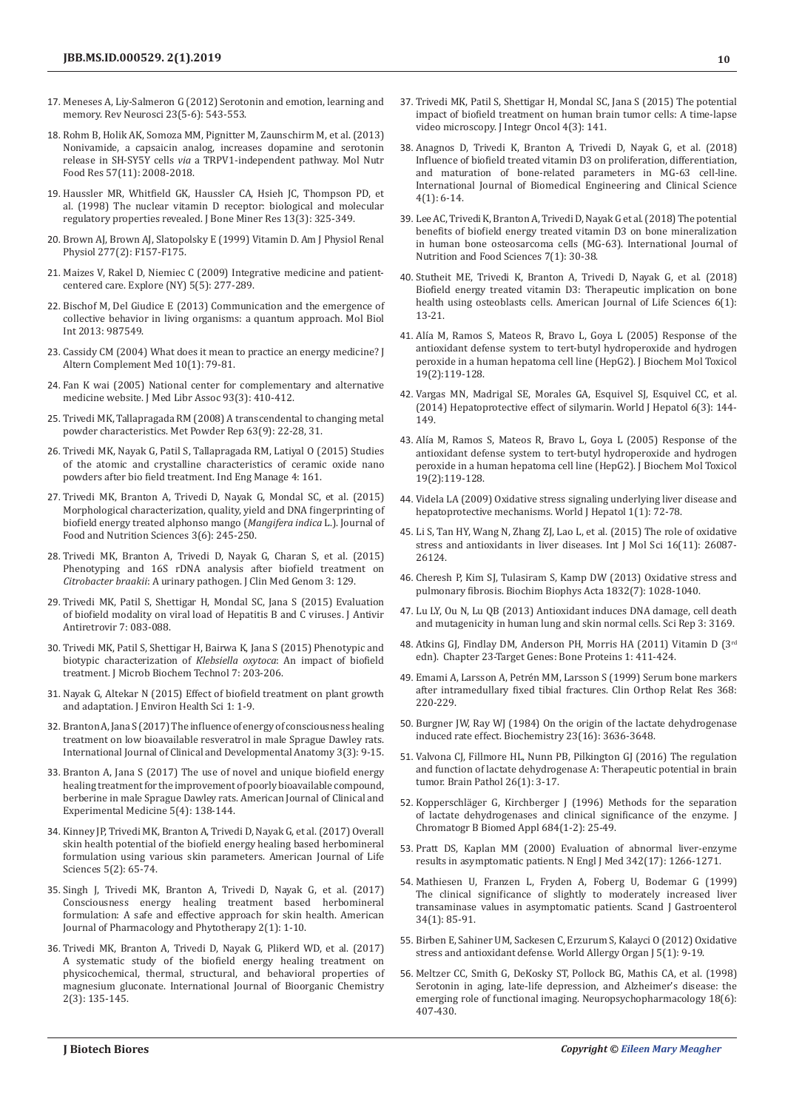- 17. [Meneses A, Liy-Salmeron G \(2012\) Serotonin and emotion, learning and](https://www.ncbi.nlm.nih.gov/pubmed/23104855)  [memory. Rev Neurosci 23\(5-6\): 543-553.](https://www.ncbi.nlm.nih.gov/pubmed/23104855)
- 18. [Rohm B, Holik AK, Somoza MM, Pignitter M, Zaunschirm M, et al. \(2013\)](https://www.ncbi.nlm.nih.gov/pubmed/23929722)  [Nonivamide, a capsaicin analog, increases dopamine and serotonin](https://www.ncbi.nlm.nih.gov/pubmed/23929722)  release in SH-SY5Y cells *via* [a TRPV1-independent pathway. Mol Nutr](https://www.ncbi.nlm.nih.gov/pubmed/23929722)  [Food Res 57\(11\): 2008-2018.](https://www.ncbi.nlm.nih.gov/pubmed/23929722)
- 19. [Haussler MR, Whitfield GK, Haussler CA, Hsieh JC, Thompson PD, et](https://www.ncbi.nlm.nih.gov/pubmed/9525333)  [al. \(1998\) The nuclear vitamin D receptor: biological and molecular](https://www.ncbi.nlm.nih.gov/pubmed/9525333)  [regulatory properties revealed. J Bone Miner Res 13\(3\): 325-349.](https://www.ncbi.nlm.nih.gov/pubmed/9525333)
- 20. [Brown AJ, Brown AJ, Slatopolsky E \(1999\) Vitamin D. Am J Physiol Renal](https://www.ncbi.nlm.nih.gov/pubmed/10444570)  [Physiol 277\(2\): F157-F175.](https://www.ncbi.nlm.nih.gov/pubmed/10444570)
- 21. [Maizes V, Rakel D, Niemiec C \(2009\) Integrative medicine and patient](https://www.ncbi.nlm.nih.gov/pubmed/19733814)[centered care. Explore \(NY\) 5\(5\): 277-289.](https://www.ncbi.nlm.nih.gov/pubmed/19733814)
- 22. [Bischof M, Del Giudice E \(2013\) Communication and the emergence of](https://www.ncbi.nlm.nih.gov/pubmed/24288611)  [collective behavior in living organisms: a quantum approach. Mol Biol](https://www.ncbi.nlm.nih.gov/pubmed/24288611)  [Int 2013: 987549.](https://www.ncbi.nlm.nih.gov/pubmed/24288611)
- 23. [Cassidy CM \(2004\) What does it mean to practice an energy medicine? J](https://www.liebertpub.com/doi/pdfplus/10.1089/107555304322848986)  [Altern Complement Med 10\(1\): 79-81.](https://www.liebertpub.com/doi/pdfplus/10.1089/107555304322848986)
- 24. Fan K wai (2005) National center for complementary and alternative medicine website. J Med Libr Assoc 93(3): 410-412.
- 25. [Trivedi MK, Tallapragada RM \(2008\) A transcendental to changing metal](https://www.sciencedirect.com/science/article/abs/pii/S0026065708701450)  [powder characteristics. Met Powder Rep 63\(9\): 22-28, 31.](https://www.sciencedirect.com/science/article/abs/pii/S0026065708701450)
- 26. Trivedi MK, Nayak G, Patil S, Tallapragada RM, Latiyal O (2015) Studies of the atomic and crystalline characteristics of ceramic oxide nano powders after bio field treatment. Ind Eng Manage 4: 161.
- 27. [Trivedi MK, Branton A, Trivedi D, Nayak G, Mondal SC, et al. \(2015\)](http://www.sciencepublishinggroup.com/journal/paperinfo?journalid=154&doi=10.11648/j.jfns.20150306.18)  [Morphological characterization, quality, yield and DNA fingerprinting of](http://www.sciencepublishinggroup.com/journal/paperinfo?journalid=154&doi=10.11648/j.jfns.20150306.18)  [biofield energy treated alphonso mango \(](http://www.sciencepublishinggroup.com/journal/paperinfo?journalid=154&doi=10.11648/j.jfns.20150306.18)*Mangifera indica* L.). Journal of [Food and Nutrition Sciences 3\(6\): 245-250.](http://www.sciencepublishinggroup.com/journal/paperinfo?journalid=154&doi=10.11648/j.jfns.20150306.18)
- 28. Trivedi MK, Branton A, Trivedi D, Nayak G, Charan S, et al. (2015) Phenotyping and 16S rDNA analysis after biofield treatment on *Citrobacter braakii*: A urinary pathogen. J Clin Med Genom 3: 129.
- 29. Trivedi MK, Patil S, Shettigar H, Mondal SC, Jana S (2015) Evaluation of biofield modality on viral load of Hepatitis B and C viruses. J Antivir Antiretrovir 7: 083-088.
- 30. Trivedi MK, Patil S, Shettigar H, Bairwa K, Jana S (2015) Phenotypic and biotypic characterization of *Klebsiella oxytoca*: An impact of biofield treatment. J Microb Biochem Technol 7: 203-206.
- 31. [Nayak G, Altekar N \(2015\) Effect of biofield treatment on plant growth](https://www.ommegaonline.org/article-details/Effect-of-a-Biofield-Treatment-on-Plant-Growth-and-Adaptation/75)  [and adaptation. J Environ Health Sci 1: 1-9.](https://www.ommegaonline.org/article-details/Effect-of-a-Biofield-Treatment-on-Plant-Growth-and-Adaptation/75)
- 32. [Branton A, Jana S \(2017\) The influence of energy of consciousness healing](http://www.sciencepublishinggroup.com/journal/paperinfo?journalid=361&doi=10.11648/j.ijcda.20170303.11)  [treatment on low bioavailable resveratrol in male Sprague Dawley rats.](http://www.sciencepublishinggroup.com/journal/paperinfo?journalid=361&doi=10.11648/j.ijcda.20170303.11)  [International Journal of Clinical and Developmental Anatomy 3\(3\): 9-15.](http://www.sciencepublishinggroup.com/journal/paperinfo?journalid=361&doi=10.11648/j.ijcda.20170303.11)
- 33. [Branton A, Jana S \(2017\) The use of novel and unique biofield energy](https://escholarship.org/uc/item/8fn6s8w8)  [healing treatment for the improvement of poorly bioavailable compound,](https://escholarship.org/uc/item/8fn6s8w8)  [berberine in male Sprague Dawley rats. American Journal of Clinical and](https://escholarship.org/uc/item/8fn6s8w8)  [Experimental Medicine 5\(4\): 138-144.](https://escholarship.org/uc/item/8fn6s8w8)
- 34. [Kinney JP, Trivedi MK, Branton A, Trivedi D, Nayak G, et al. \(2017\) Overall](http://www.sciencepublishinggroup.com/journal/paperinfo?journalid=118&doi=10.11648/j.ajls.20170502.15)  [skin health potential of the biofield energy healing based herbomineral](http://www.sciencepublishinggroup.com/journal/paperinfo?journalid=118&doi=10.11648/j.ajls.20170502.15)  [formulation using various skin parameters. American Journal of Life](http://www.sciencepublishinggroup.com/journal/paperinfo?journalid=118&doi=10.11648/j.ajls.20170502.15)  [Sciences 5\(2\): 65-74.](http://www.sciencepublishinggroup.com/journal/paperinfo?journalid=118&doi=10.11648/j.ajls.20170502.15)
- 35. [Singh J, Trivedi MK, Branton A, Trivedi D, Nayak G, et al. \(2017\)](http://www.sciencepublishinggroup.com/journal/paperinfo?journalid=394&paperId=10022674)  [Consciousness energy healing treatment based herbomineral](http://www.sciencepublishinggroup.com/journal/paperinfo?journalid=394&paperId=10022674)  [formulation: A safe and effective approach for skin health. American](http://www.sciencepublishinggroup.com/journal/paperinfo?journalid=394&paperId=10022674)  [Journal of Pharmacology and Phytotherapy 2\(1\): 1-10.](http://www.sciencepublishinggroup.com/journal/paperinfo?journalid=394&paperId=10022674)
- 36. [Trivedi MK, Branton A, Trivedi D, Nayak G, Plikerd WD, et al. \(2017\)](http://www.sciencepublishinggroup.com/journal/paperinfo?journalid=609&doi=10.11648/j.ijbc.20170203.19)  [A systematic study of the biofield energy healing treatment on](http://www.sciencepublishinggroup.com/journal/paperinfo?journalid=609&doi=10.11648/j.ijbc.20170203.19)  [physicochemical, thermal, structural, and behavioral properties of](http://www.sciencepublishinggroup.com/journal/paperinfo?journalid=609&doi=10.11648/j.ijbc.20170203.19)  [magnesium gluconate. International Journal of Bioorganic Chemistry](http://www.sciencepublishinggroup.com/journal/paperinfo?journalid=609&doi=10.11648/j.ijbc.20170203.19)  [2\(3\): 135-145.](http://www.sciencepublishinggroup.com/journal/paperinfo?journalid=609&doi=10.11648/j.ijbc.20170203.19)
- 37. Trivedi MK, Patil S, Shettigar H, Mondal SC, Jana S (2015) The potential impact of biofield treatment on human brain tumor cells: A time-lapse video microscopy. J Integr Oncol 4(3): 141.
- 38. [Anagnos D, Trivedi K, Branton A, Trivedi D, Nayak G, et al. \(2018\)](https://escholarship.org/uc/item/7fw0s9hj) [Influence of biofield treated vitamin D3 on proliferation, differentiation,](https://escholarship.org/uc/item/7fw0s9hj) [and maturation of bone-related parameters in MG-63 cell-line.](https://escholarship.org/uc/item/7fw0s9hj) [International Journal of Biomedical Engineering and Clinical Science](https://escholarship.org/uc/item/7fw0s9hj) [4\(1\): 6-14.](https://escholarship.org/uc/item/7fw0s9hj)
- 39. [Lee AC, Trivedi K, Branton A, Trivedi D, Nayak G et al. \(2018\) The potential](https://escholarship.org/uc/item/4wg95066) [benefits of biofield energy treated vitamin D3 on bone mineralization](https://escholarship.org/uc/item/4wg95066) [in human bone osteosarcoma cells \(MG-63\). International Journal of](https://escholarship.org/uc/item/4wg95066) [Nutrition and Food Sciences 7\(1\): 30-38.](https://escholarship.org/uc/item/4wg95066)
- 40. [Stutheit ME, Trivedi K, Branton A, Trivedi D, Nayak G, et al. \(2018\)](https://escholarship.org/uc/item/2xv8v53s) [Biofield energy treated vitamin D3: Therapeutic implication on bone](https://escholarship.org/uc/item/2xv8v53s) [health using osteoblasts cells. American Journal of Life Sciences 6\(1\):](https://escholarship.org/uc/item/2xv8v53s) [13-21.](https://escholarship.org/uc/item/2xv8v53s)
- 41. [Alía M, Ramos S, Mateos R, Bravo L, Goya L \(2005\) Response of the](https://www.ncbi.nlm.nih.gov/pubmed/15849717) [antioxidant defense system to tert-butyl hydroperoxide and hydrogen](https://www.ncbi.nlm.nih.gov/pubmed/15849717) [peroxide in a human hepatoma cell line \(HepG2\). J Biochem Mol Toxicol](https://www.ncbi.nlm.nih.gov/pubmed/15849717) [19\(2\):119-128.](https://www.ncbi.nlm.nih.gov/pubmed/15849717)
- 42. [Vargas MN, Madrigal SE, Morales GA, Esquivel SJ, Esquivel CC, et al.](https://www.ncbi.nlm.nih.gov/pubmed/24672644/) [\(2014\) Hepatoprotective effect of silymarin. World J Hepatol 6\(3\): 144-](https://www.ncbi.nlm.nih.gov/pubmed/24672644/) [149.](https://www.ncbi.nlm.nih.gov/pubmed/24672644/)
- 43. Alía M, Ramos S, Mateos R, Bravo L, Goya L (2005) Response of the antioxidant defense system to tert-butyl hydroperoxide and hydrogen peroxide in a human hepatoma cell line (HepG2). J Biochem Mol Toxicol 19(2):119-128.
- 44. [Videla LA \(2009\) Oxidative stress signaling underlying liver disease and](https://www.ncbi.nlm.nih.gov/pubmed/21160968/) [hepatoprotective mechanisms. World J Hepatol 1\(1\): 72-78.](https://www.ncbi.nlm.nih.gov/pubmed/21160968/)
- 45. [Li S, Tan HY, Wang N, Zhang ZJ, Lao L, et al. \(2015\) The role of oxidative](https://www.ncbi.nlm.nih.gov/pubmed/26540040/) [stress and antioxidants in liver diseases. Int J Mol Sci 16\(11\): 26087-](https://www.ncbi.nlm.nih.gov/pubmed/26540040/) [26124.](https://www.ncbi.nlm.nih.gov/pubmed/26540040/)
- 46. [Cheresh P, Kim SJ, Tulasiram S, Kamp DW \(2013\) Oxidative stress and](https://www.ncbi.nlm.nih.gov/pubmed/23219955) [pulmonary fibrosis. Biochim Biophys Acta 1832\(7\): 1028-1040.](https://www.ncbi.nlm.nih.gov/pubmed/23219955)
- 47. [Lu LY, Ou N, Lu QB \(2013\) Antioxidant induces DNA damage, cell death](https://www.ncbi.nlm.nih.gov/pubmed/24201298) [and mutagenicity in human lung and skin normal cells. Sci Rep 3: 3169.](https://www.ncbi.nlm.nih.gov/pubmed/24201298)
- 48. [Atkins GJ, Findlay DM, Anderson PH, Morris HA \(2011\) Vitamin D \(3](https://www.sciencedirect.com/science/article/pii/B978012381978910023X)rd [edn\). Chapter 23-Target Genes: Bone Proteins 1: 411-424.](https://www.sciencedirect.com/science/article/pii/B978012381978910023X)
- 49. [Emami A, Larsson A, Petrén MM, Larsson S \(1999\) Serum bone markers](https://www.ncbi.nlm.nih.gov/pubmed/10613172) [after intramedullary fixed tibial fractures. Clin Orthop Relat Res 368:](https://www.ncbi.nlm.nih.gov/pubmed/10613172) [220-229.](https://www.ncbi.nlm.nih.gov/pubmed/10613172)
- 50. [Burgner JW, Ray WJ \(1984\) On the origin of the lactate dehydrogenase](https://www.ncbi.nlm.nih.gov/pubmed/6477889) [induced rate effect. Biochemistry 23\(16\): 3636-3648.](https://www.ncbi.nlm.nih.gov/pubmed/6477889)
- 51. [Valvona CJ, Fillmore HL, Nunn PB, Pilkington GJ \(2016\) The regulation](https://www.ncbi.nlm.nih.gov/pubmed/26269128) [and function of lactate dehydrogenase A: Therapeutic potential in brain](https://www.ncbi.nlm.nih.gov/pubmed/26269128) [tumor. Brain Pathol 26\(1\): 3-17.](https://www.ncbi.nlm.nih.gov/pubmed/26269128)
- 52. [Kopperschläger G, Kirchberger J \(1996\) Methods for the separation](https://www.sciencedirect.com/science/article/pii/0378434796001338) [of lactate dehydrogenases and clinical significance of the enzyme. J](https://www.sciencedirect.com/science/article/pii/0378434796001338) [Chromatogr B Biomed Appl 684\(1-2\): 25-49.](https://www.sciencedirect.com/science/article/pii/0378434796001338)
- 53. [Pratt DS, Kaplan MM \(2000\) Evaluation of abnormal liver-enzyme](https://www.ncbi.nlm.nih.gov/pubmed/10781624) [results in asymptomatic patients. N Engl J Med 342\(17\): 1266-1271.](https://www.ncbi.nlm.nih.gov/pubmed/10781624)
- 54. [Mathiesen U, Franzen L, Fryden A, Foberg U, Bodemar G \(1999\)](https://www.ncbi.nlm.nih.gov/pubmed/10048738) [The clinical significance of slightly to moderately increased liver](https://www.ncbi.nlm.nih.gov/pubmed/10048738) [transaminase values in asymptomatic patients. Scand J Gastroenterol](https://www.ncbi.nlm.nih.gov/pubmed/10048738) [34\(1\): 85-91.](https://www.ncbi.nlm.nih.gov/pubmed/10048738)
- 55. [Birben E, Sahiner UM, Sackesen C, Erzurum S, Kalayci O \(2012\) Oxidative](https://www.ncbi.nlm.nih.gov/pubmed/23268465) [stress and antioxidant defense. World Allergy Organ J 5\(1\): 9-19.](https://www.ncbi.nlm.nih.gov/pubmed/23268465)
- 56. [Meltzer CC, Smith G, DeKosky ST, Pollock BG, Mathis CA, et al. \(1998\)](https://www.ncbi.nlm.nih.gov/pubmed/9571651) [Serotonin in aging, late-life depression, and Alzheimer's disease: the](https://www.ncbi.nlm.nih.gov/pubmed/9571651) [emerging role of functional imaging. Neuropsychopharmacology 18\(6\):](https://www.ncbi.nlm.nih.gov/pubmed/9571651) [407-430.](https://www.ncbi.nlm.nih.gov/pubmed/9571651)